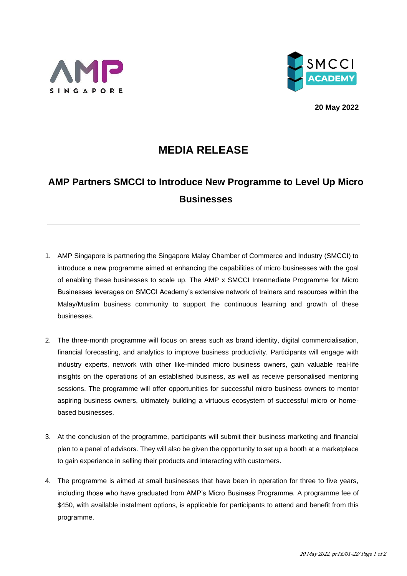



**20 May 2022**

## **MEDIA RELEASE**

## **AMP Partners SMCCI to Introduce New Programme to Level Up Micro Businesses**

- 1. AMP Singapore is partnering the Singapore Malay Chamber of Commerce and Industry (SMCCI) to introduce a new programme aimed at enhancing the capabilities of micro businesses with the goal of enabling these businesses to scale up. The AMP x SMCCI Intermediate Programme for Micro Businesses leverages on SMCCI Academy's extensive network of trainers and resources within the Malay/Muslim business community to support the continuous learning and growth of these businesses.
- 2. The three-month programme will focus on areas such as brand identity, digital commercialisation, financial forecasting, and analytics to improve business productivity. Participants will engage with industry experts, network with other like-minded micro business owners, gain valuable real-life insights on the operations of an established business, as well as receive personalised mentoring sessions. The programme will offer opportunities for successful micro business owners to mentor aspiring business owners, ultimately building a virtuous ecosystem of successful micro or homebased businesses.
- 3. At the conclusion of the programme, participants will submit their business marketing and financial plan to a panel of advisors. They will also be given the opportunity to set up a booth at a marketplace to gain experience in selling their products and interacting with customers.
- 4. The programme is aimed at small businesses that have been in operation for three to five years, including those who have graduated from AMP's Micro Business Programme. A programme fee of \$450, with available instalment options, is applicable for participants to attend and benefit from this programme.